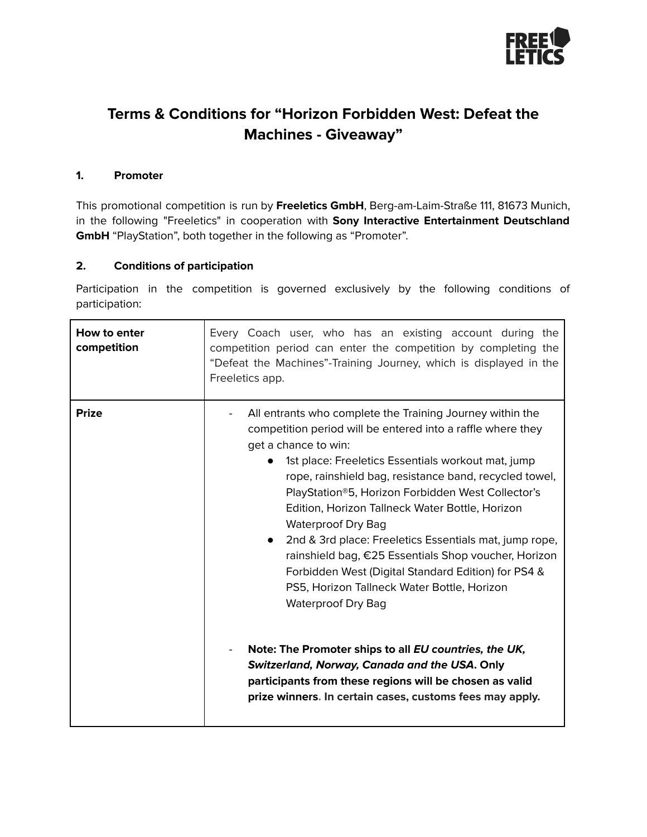

# **Terms & Conditions for "Horizon Forbidden West: Defeat the Machines - Giveaway"**

### **1. Promoter**

This promotional competition is run by **Freeletics GmbH**, Berg-am-Laim-Straße 111, 81673 Munich, in the following "Freeletics" in cooperation with **Sony Interactive Entertainment Deutschland GmbH** "PlayStation", both together in the following as "Promoter".

#### **2. Conditions of participation**

Participation in the competition is governed exclusively by the following conditions of participation:

| How to enter<br>competition | Every Coach user, who has an existing account during the<br>competition period can enter the competition by completing the<br>"Defeat the Machines"-Training Journey, which is displayed in the<br>Freeletics app.                                                                                                                                                                                                                                                                                                                                                                                                                                                                                                                                                                                                                                                                          |
|-----------------------------|---------------------------------------------------------------------------------------------------------------------------------------------------------------------------------------------------------------------------------------------------------------------------------------------------------------------------------------------------------------------------------------------------------------------------------------------------------------------------------------------------------------------------------------------------------------------------------------------------------------------------------------------------------------------------------------------------------------------------------------------------------------------------------------------------------------------------------------------------------------------------------------------|
| <b>Prize</b>                | All entrants who complete the Training Journey within the<br>competition period will be entered into a raffle where they<br>get a chance to win:<br>1st place: Freeletics Essentials workout mat, jump<br>rope, rainshield bag, resistance band, recycled towel,<br>PlayStation®5, Horizon Forbidden West Collector's<br>Edition, Horizon Tallneck Water Bottle, Horizon<br><b>Waterproof Dry Bag</b><br>2nd & 3rd place: Freeletics Essentials mat, jump rope,<br>rainshield bag, €25 Essentials Shop voucher, Horizon<br>Forbidden West (Digital Standard Edition) for PS4 &<br>PS5, Horizon Tallneck Water Bottle, Horizon<br><b>Waterproof Dry Bag</b><br>Note: The Promoter ships to all EU countries, the UK,<br>Switzerland, Norway, Canada and the USA. Only<br>participants from these regions will be chosen as valid<br>prize winners. In certain cases, customs fees may apply. |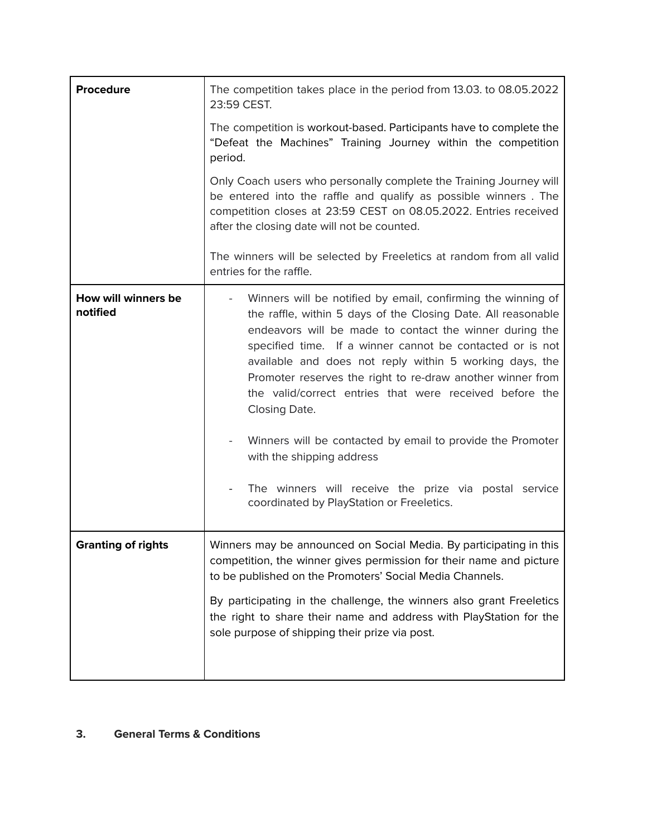| <b>Procedure</b>                | The competition takes place in the period from 13.03. to 08.05.2022<br>23:59 CEST.                                                                                                                                                                                                                                                                                                                                                                                                                                                                                                                                                                                                                                  |
|---------------------------------|---------------------------------------------------------------------------------------------------------------------------------------------------------------------------------------------------------------------------------------------------------------------------------------------------------------------------------------------------------------------------------------------------------------------------------------------------------------------------------------------------------------------------------------------------------------------------------------------------------------------------------------------------------------------------------------------------------------------|
|                                 | The competition is workout-based. Participants have to complete the<br>"Defeat the Machines" Training Journey within the competition<br>period.                                                                                                                                                                                                                                                                                                                                                                                                                                                                                                                                                                     |
|                                 | Only Coach users who personally complete the Training Journey will<br>be entered into the raffle and qualify as possible winners. The<br>competition closes at 23:59 CEST on 08.05.2022. Entries received<br>after the closing date will not be counted.                                                                                                                                                                                                                                                                                                                                                                                                                                                            |
|                                 | The winners will be selected by Freeletics at random from all valid<br>entries for the raffle.                                                                                                                                                                                                                                                                                                                                                                                                                                                                                                                                                                                                                      |
| How will winners be<br>notified | Winners will be notified by email, confirming the winning of<br>$\overline{\phantom{a}}$<br>the raffle, within 5 days of the Closing Date. All reasonable<br>endeavors will be made to contact the winner during the<br>specified time. If a winner cannot be contacted or is not<br>available and does not reply within 5 working days, the<br>Promoter reserves the right to re-draw another winner from<br>the valid/correct entries that were received before the<br>Closing Date.<br>Winners will be contacted by email to provide the Promoter<br>with the shipping address<br>The winners will receive the prize via postal service<br>$\overline{\phantom{a}}$<br>coordinated by PlayStation or Freeletics. |
| <b>Granting of rights</b>       | Winners may be announced on Social Media. By participating in this<br>competition, the winner gives permission for their name and picture<br>to be published on the Promoters' Social Media Channels.<br>By participating in the challenge, the winners also grant Freeletics<br>the right to share their name and address with PlayStation for the<br>sole purpose of shipping their prize via post.                                                                                                                                                                                                                                                                                                               |

# **3. General Terms & Conditions**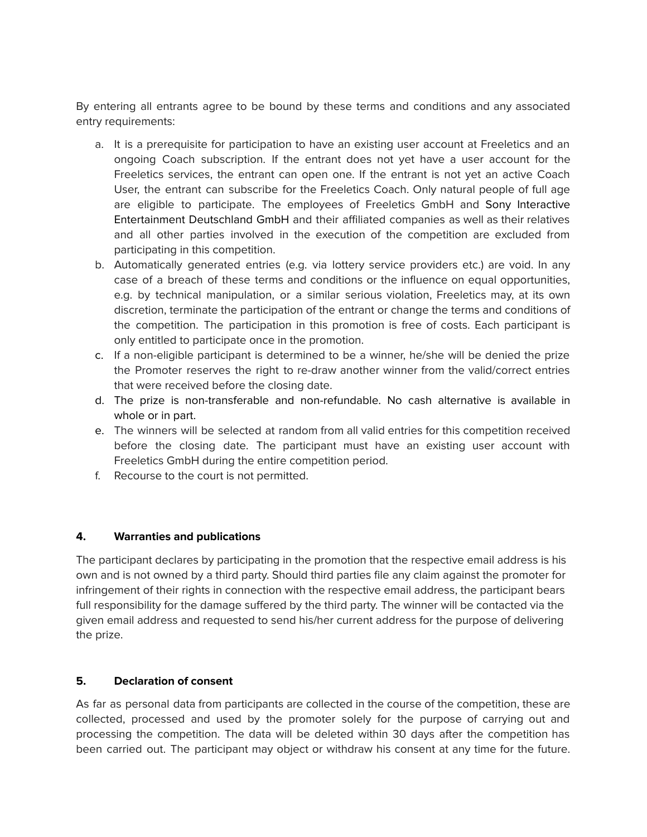By entering all entrants agree to be bound by these terms and conditions and any associated entry requirements:

- a. It is a prerequisite for participation to have an existing user account at Freeletics and an ongoing Coach subscription. If the entrant does not yet have a user account for the Freeletics services, the entrant can open one. If the entrant is not yet an active Coach User, the entrant can subscribe for the Freeletics Coach. Only natural people of full age are eligible to participate. The employees of Freeletics GmbH and Sony Interactive Entertainment Deutschland GmbH and their affiliated companies as well as their relatives and all other parties involved in the execution of the competition are excluded from participating in this competition.
- b. Automatically generated entries (e.g. via lottery service providers etc.) are void. In any case of a breach of these terms and conditions or the influence on equal opportunities, e.g. by technical manipulation, or a similar serious violation, Freeletics may, at its own discretion, terminate the participation of the entrant or change the terms and conditions of the competition. The participation in this promotion is free of costs. Each participant is only entitled to participate once in the promotion.
- c. If a non-eligible participant is determined to be a winner, he/she will be denied the prize the Promoter reserves the right to re-draw another winner from the valid/correct entries that were received before the closing date.
- d. The prize is non-transferable and non-refundable. No cash alternative is available in whole or in part.
- e. The winners will be selected at random from all valid entries for this competition received before the closing date. The participant must have an existing user account with Freeletics GmbH during the entire competition period.
- f. Recourse to the court is not permitted.

# **4. Warranties and publications**

The participant declares by participating in the promotion that the respective email address is his own and is not owned by a third party. Should third parties file any claim against the promoter for infringement of their rights in connection with the respective email address, the participant bears full responsibility for the damage suffered by the third party. The winner will be contacted via the given email address and requested to send his/her current address for the purpose of delivering the prize.

# **5. Declaration of consent**

As far as personal data from participants are collected in the course of the competition, these are collected, processed and used by the promoter solely for the purpose of carrying out and processing the competition. The data will be deleted within 30 days after the competition has been carried out. The participant may object or withdraw his consent at any time for the future.